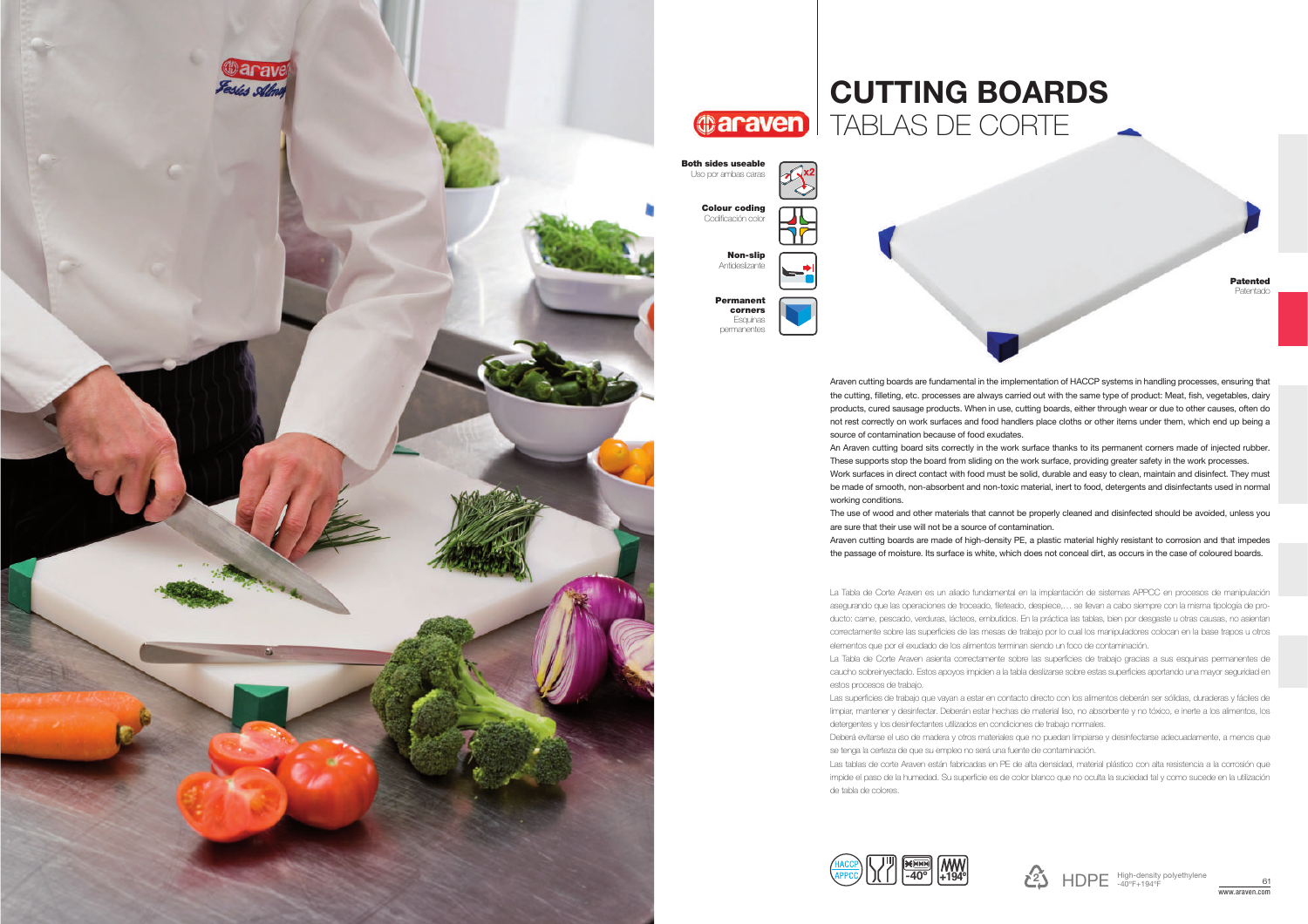

## CUTTING BOARDS**@araven** TABLAS DE CORTE

| les useable<br>r ambas caras                    |  |
|-------------------------------------------------|--|
| lour coding<br>dificación color                 |  |
| Non-slip<br>Antideslizante                      |  |
| Permanent<br>corners<br>Esquinas<br>permanentes |  |

PatentedPatentado

Araven cutting boards are fundamental in the implementation of HACCP systems in handling processes, ensuring that the cutting, filleting, etc. processes are always carried out with the same type of product: Meat, fish, vegetables, dairy products, cured sausage products. When in use, cutting boards, either through wear or due to other causes, often do not rest correctly on work surfaces and food handlers place cloths or other items under them, which end up being a source of contamination because of food exudates.

An Araven cutting board sits correctly in the work surface thanks to its permanent corners made of injected rubber. These supports stop the board from sliding on the work surface, providing greater safety in the work processes.

 Work surfaces in direct contact with food must be solid, durable and easy to clean, maintain and disinfect. They must be made of smooth, non-absorbent and non-toxic material, inert to food, detergents and disinfectants used in normal working conditions.

The use of wood and other materials that cannot be properly cleaned and disinfected should be avoided, unless you are sure that their use will not be a source of contamination.

 Araven cutting boards are made of high-density PE, a plastic material highly resistant to corrosion and that impedes the passage of moisture. Its surface is white, which does not conceal dirt, as occurs in the case of coloured boards.

La Tabla de Corte Araven es un aliado fundamental en la implantación de sistemas APPCC en procesos de manipulación asegurando que las operaciones de troceado, fileteado, despiece,… se llevan a cabo siempre con la misma tipología de producto: carne, pescado, verduras, lácteos, embutidos. En la práctica las tablas, bien por desgaste u otras causas, no asientan correctamente sobre las superficies de las mesas de trabajo por lo cual los manipuladores colocan en la base trapos u otros elementos que por el exudado de los alimentos terminan siendo un foco de contaminación.

La Tabla de Corte Araven asienta correctamente sobre las superficies de trabajo gracias a sus esquinas permanentes de caucho sobreinyectado. Estos apoyos impiden a la tabla deslizarse sobre estas superficies aportando una mayor seguridad en estos procesos de trabajo.

Las superficies de trabajo que vayan a estar en contacto directo con los alimentos deberán ser sólidas, duraderas y fáciles de limpiar, mantener y desinfectar. Deberán estar hechas de material liso, no absorbente y no tóxico, e inerte a los alimentos, los detergentes y los desinfectantes utilizados en condiciones de trabajo normales.

Deberá evitarse el uso de madera y otros materiales que no puedan limpiarse y desinfectarse adecuadamente, a menos que se tenga la certeza de que su empleo no será una fuente de contaminación.

 Las tablas de corte Araven están fabricadas en PE de alta densidad, material plástico con alta resistencia a la corrosión que impide el paso de la humedad. Su superficie es de color blanco que no oculta la suciedad tal y como sucede en la utilización de tabla de colores.